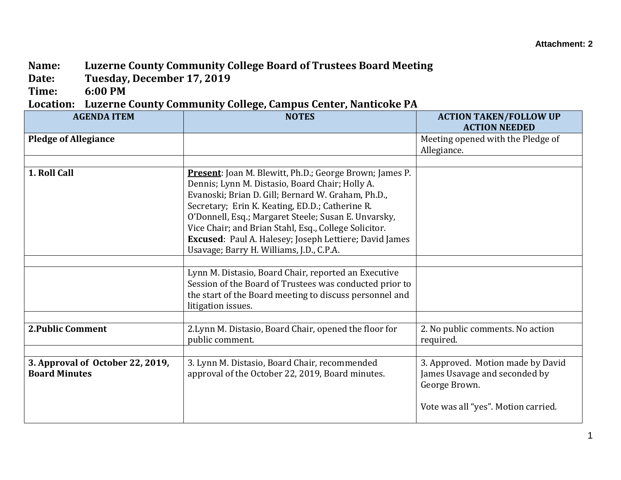## **Name: Luzerne County Community College Board of Trustees Board Meeting**

**Date: Tuesday, December 17, 2019**

**Time: 6:00 PM**

## **Location: Luzerne County Community College, Campus Center, Nanticoke PA**

| <b>AGENDA ITEM</b>                                       | <b>NOTES</b>                                                                                                                                                                                                                                                                                                                                                                                                                                                                                              | <b>ACTION TAKEN/FOLLOW UP</b><br><b>ACTION NEEDED</b>                                                                      |
|----------------------------------------------------------|-----------------------------------------------------------------------------------------------------------------------------------------------------------------------------------------------------------------------------------------------------------------------------------------------------------------------------------------------------------------------------------------------------------------------------------------------------------------------------------------------------------|----------------------------------------------------------------------------------------------------------------------------|
| <b>Pledge of Allegiance</b>                              |                                                                                                                                                                                                                                                                                                                                                                                                                                                                                                           | Meeting opened with the Pledge of<br>Allegiance.                                                                           |
| 1. Roll Call                                             | <b>Present:</b> Joan M. Blewitt, Ph.D.; George Brown; James P.<br>Dennis; Lynn M. Distasio, Board Chair; Holly A.<br>Evanoski; Brian D. Gill; Bernard W. Graham, Ph.D.,<br>Secretary; Erin K. Keating, ED.D.; Catherine R.<br>O'Donnell, Esq.; Margaret Steele; Susan E. Unvarsky,<br>Vice Chair; and Brian Stahl, Esq., College Solicitor.<br>Excused: Paul A. Halesey; Joseph Lettiere; David James<br>Usavage; Barry H. Williams, J.D., C.P.A.<br>Lynn M. Distasio, Board Chair, reported an Executive |                                                                                                                            |
|                                                          | Session of the Board of Trustees was conducted prior to<br>the start of the Board meeting to discuss personnel and<br>litigation issues.                                                                                                                                                                                                                                                                                                                                                                  |                                                                                                                            |
| <b>2. Public Comment</b>                                 | 2. Lynn M. Distasio, Board Chair, opened the floor for<br>public comment.                                                                                                                                                                                                                                                                                                                                                                                                                                 | 2. No public comments. No action<br>required.                                                                              |
| 3. Approval of October 22, 2019,<br><b>Board Minutes</b> | 3. Lynn M. Distasio, Board Chair, recommended<br>approval of the October 22, 2019, Board minutes.                                                                                                                                                                                                                                                                                                                                                                                                         | 3. Approved. Motion made by David<br>James Usavage and seconded by<br>George Brown.<br>Vote was all "yes". Motion carried. |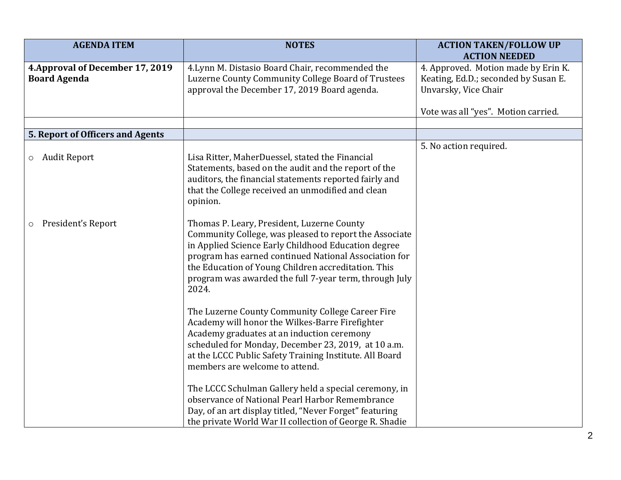| <b>AGENDA ITEM</b>                                      | <b>NOTES</b>                                                                                                                                                                                                                                                                                                                                   | <b>ACTION TAKEN/FOLLOW UP</b>                                                                                               |
|---------------------------------------------------------|------------------------------------------------------------------------------------------------------------------------------------------------------------------------------------------------------------------------------------------------------------------------------------------------------------------------------------------------|-----------------------------------------------------------------------------------------------------------------------------|
| 4. Approval of December 17, 2019<br><b>Board Agenda</b> | 4. Lynn M. Distasio Board Chair, recommended the<br>Luzerne County Community College Board of Trustees<br>approval the December 17, 2019 Board agenda.                                                                                                                                                                                         | <b>ACTION NEEDED</b><br>4. Approved. Motion made by Erin K.<br>Keating, Ed.D.; seconded by Susan E.<br>Unvarsky, Vice Chair |
|                                                         |                                                                                                                                                                                                                                                                                                                                                | Vote was all "yes". Motion carried.                                                                                         |
| 5. Report of Officers and Agents                        |                                                                                                                                                                                                                                                                                                                                                |                                                                                                                             |
| o Audit Report                                          | Lisa Ritter, MaherDuessel, stated the Financial<br>Statements, based on the audit and the report of the<br>auditors, the financial statements reported fairly and<br>that the College received an unmodified and clean<br>opinion.                                                                                                             | 5. No action required.                                                                                                      |
| President's Report<br>$\circ$                           | Thomas P. Leary, President, Luzerne County<br>Community College, was pleased to report the Associate<br>in Applied Science Early Childhood Education degree<br>program has earned continued National Association for<br>the Education of Young Children accreditation. This<br>program was awarded the full 7-year term, through July<br>2024. |                                                                                                                             |
|                                                         | The Luzerne County Community College Career Fire<br>Academy will honor the Wilkes-Barre Firefighter<br>Academy graduates at an induction ceremony<br>scheduled for Monday, December 23, 2019, at 10 a.m.<br>at the LCCC Public Safety Training Institute. All Board<br>members are welcome to attend.                                          |                                                                                                                             |
|                                                         | The LCCC Schulman Gallery held a special ceremony, in<br>observance of National Pearl Harbor Remembrance<br>Day, of an art display titled, "Never Forget" featuring<br>the private World War II collection of George R. Shadie                                                                                                                 |                                                                                                                             |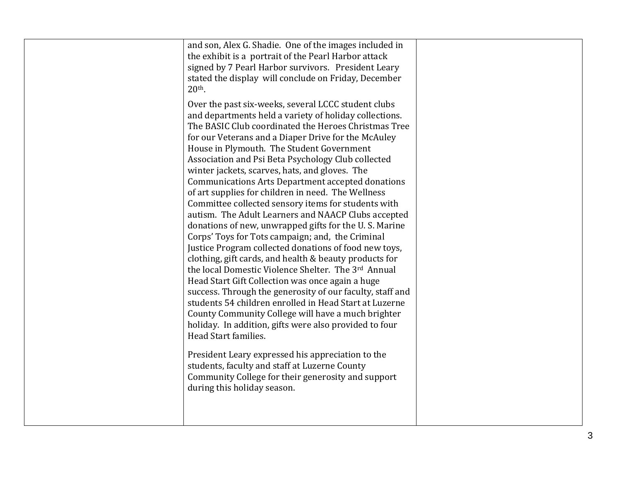| and son, Alex G. Shadie. One of the images included in                                                         |  |
|----------------------------------------------------------------------------------------------------------------|--|
| the exhibit is a portrait of the Pearl Harbor attack                                                           |  |
| signed by 7 Pearl Harbor survivors. President Leary                                                            |  |
| stated the display will conclude on Friday, December                                                           |  |
| $20th$ .                                                                                                       |  |
| Over the past six-weeks, several LCCC student clubs                                                            |  |
| and departments held a variety of holiday collections.                                                         |  |
| The BASIC Club coordinated the Heroes Christmas Tree                                                           |  |
| for our Veterans and a Diaper Drive for the McAuley                                                            |  |
| House in Plymouth. The Student Government                                                                      |  |
| Association and Psi Beta Psychology Club collected                                                             |  |
| winter jackets, scarves, hats, and gloves. The                                                                 |  |
| <b>Communications Arts Department accepted donations</b><br>of art supplies for children in need. The Wellness |  |
| Committee collected sensory items for students with                                                            |  |
| autism. The Adult Learners and NAACP Clubs accepted                                                            |  |
| donations of new, unwrapped gifts for the U.S. Marine                                                          |  |
| Corps' Toys for Tots campaign; and, the Criminal                                                               |  |
| Justice Program collected donations of food new toys,                                                          |  |
| clothing, gift cards, and health & beauty products for                                                         |  |
| the local Domestic Violence Shelter. The 3rd Annual                                                            |  |
| Head Start Gift Collection was once again a huge                                                               |  |
| success. Through the generosity of our faculty, staff and                                                      |  |
| students 54 children enrolled in Head Start at Luzerne                                                         |  |
| County Community College will have a much brighter                                                             |  |
| holiday. In addition, gifts were also provided to four                                                         |  |
| Head Start families.                                                                                           |  |
| President Leary expressed his appreciation to the                                                              |  |
| students, faculty and staff at Luzerne County                                                                  |  |
| Community College for their generosity and support                                                             |  |
| during this holiday season.                                                                                    |  |
|                                                                                                                |  |
|                                                                                                                |  |
|                                                                                                                |  |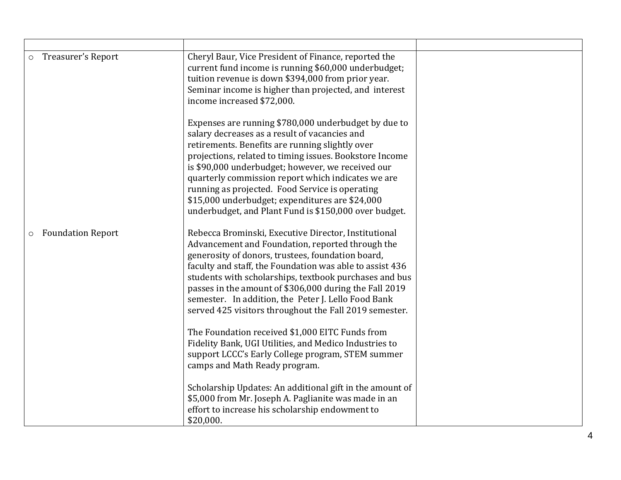| Treasurer's Report<br>$\circ$       | Cheryl Baur, Vice President of Finance, reported the<br>current fund income is running \$60,000 underbudget;<br>tuition revenue is down \$394,000 from prior year.<br>Seminar income is higher than projected, and interest<br>income increased \$72,000.<br>Expenses are running \$780,000 underbudget by due to<br>salary decreases as a result of vacancies and<br>retirements. Benefits are running slightly over<br>projections, related to timing issues. Bookstore Income<br>is \$90,000 underbudget; however, we received our<br>quarterly commission report which indicates we are<br>running as projected. Food Service is operating<br>\$15,000 underbudget; expenditures are \$24,000<br>underbudget, and Plant Fund is \$150,000 over budget.                                                                               |  |
|-------------------------------------|------------------------------------------------------------------------------------------------------------------------------------------------------------------------------------------------------------------------------------------------------------------------------------------------------------------------------------------------------------------------------------------------------------------------------------------------------------------------------------------------------------------------------------------------------------------------------------------------------------------------------------------------------------------------------------------------------------------------------------------------------------------------------------------------------------------------------------------|--|
| <b>Foundation Report</b><br>$\circ$ | Rebecca Brominski, Executive Director, Institutional<br>Advancement and Foundation, reported through the<br>generosity of donors, trustees, foundation board,<br>faculty and staff, the Foundation was able to assist 436<br>students with scholarships, textbook purchases and bus<br>passes in the amount of \$306,000 during the Fall 2019<br>semester. In addition, the Peter J. Lello Food Bank<br>served 425 visitors throughout the Fall 2019 semester.<br>The Foundation received \$1,000 EITC Funds from<br>Fidelity Bank, UGI Utilities, and Medico Industries to<br>support LCCC's Early College program, STEM summer<br>camps and Math Ready program.<br>Scholarship Updates: An additional gift in the amount of<br>\$5,000 from Mr. Joseph A. Paglianite was made in an<br>effort to increase his scholarship endowment to |  |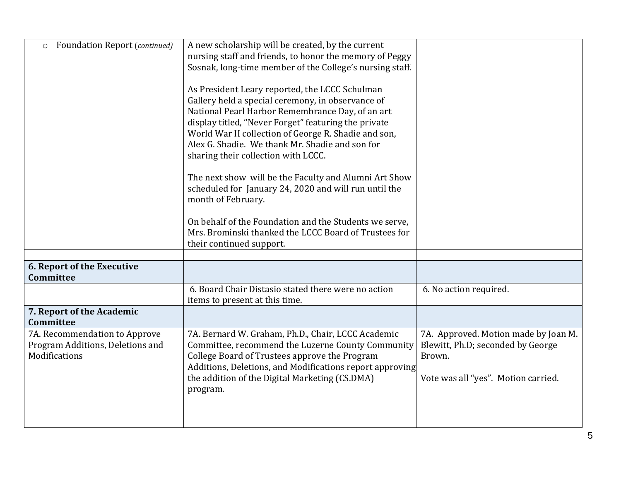| <b>Foundation Report (continued)</b><br>$\circ$                   | A new scholarship will be created, by the current                                                                   |                                                                           |
|-------------------------------------------------------------------|---------------------------------------------------------------------------------------------------------------------|---------------------------------------------------------------------------|
|                                                                   | nursing staff and friends, to honor the memory of Peggy<br>Sosnak, long-time member of the College's nursing staff. |                                                                           |
|                                                                   |                                                                                                                     |                                                                           |
|                                                                   | As President Leary reported, the LCCC Schulman                                                                      |                                                                           |
|                                                                   | Gallery held a special ceremony, in observance of<br>National Pearl Harbor Remembrance Day, of an art               |                                                                           |
|                                                                   | display titled, "Never Forget" featuring the private                                                                |                                                                           |
|                                                                   | World War II collection of George R. Shadie and son,                                                                |                                                                           |
|                                                                   | Alex G. Shadie. We thank Mr. Shadie and son for                                                                     |                                                                           |
|                                                                   | sharing their collection with LCCC.                                                                                 |                                                                           |
|                                                                   | The next show will be the Faculty and Alumni Art Show                                                               |                                                                           |
|                                                                   | scheduled for January 24, 2020 and will run until the                                                               |                                                                           |
|                                                                   | month of February.                                                                                                  |                                                                           |
|                                                                   | On behalf of the Foundation and the Students we serve,                                                              |                                                                           |
|                                                                   | Mrs. Brominski thanked the LCCC Board of Trustees for                                                               |                                                                           |
|                                                                   | their continued support.                                                                                            |                                                                           |
|                                                                   |                                                                                                                     |                                                                           |
| <b>6. Report of the Executive</b><br>Committee                    |                                                                                                                     |                                                                           |
|                                                                   | 6. Board Chair Distasio stated there were no action                                                                 | 6. No action required.                                                    |
|                                                                   | items to present at this time.                                                                                      |                                                                           |
| 7. Report of the Academic                                         |                                                                                                                     |                                                                           |
| <b>Committee</b>                                                  |                                                                                                                     |                                                                           |
| 7A. Recommendation to Approve<br>Program Additions, Deletions and | 7A. Bernard W. Graham, Ph.D., Chair, LCCC Academic<br>Committee, recommend the Luzerne County Community             | 7A. Approved. Motion made by Joan M.<br>Blewitt, Ph.D; seconded by George |
| Modifications                                                     | College Board of Trustees approve the Program                                                                       | Brown.                                                                    |
|                                                                   | Additions, Deletions, and Modifications report approving                                                            |                                                                           |
|                                                                   | the addition of the Digital Marketing (CS.DMA)                                                                      | Vote was all "yes". Motion carried.                                       |
|                                                                   | program.                                                                                                            |                                                                           |
|                                                                   |                                                                                                                     |                                                                           |
|                                                                   |                                                                                                                     |                                                                           |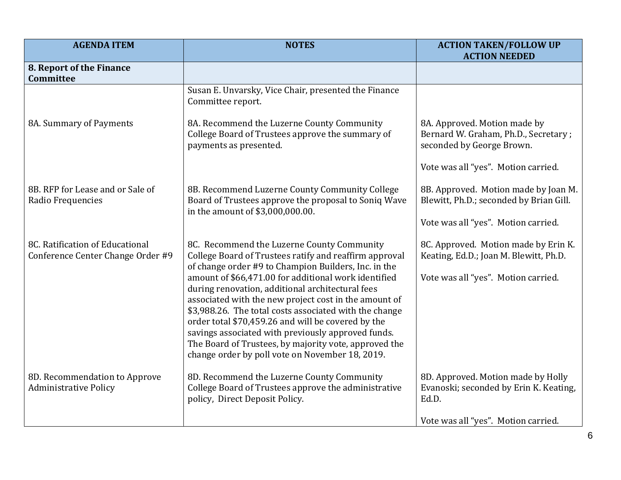| <b>AGENDA ITEM</b>                                                   | <b>NOTES</b>                                                                                                                                                                                                                                                                      | <b>ACTION TAKEN/FOLLOW UP</b><br><b>ACTION NEEDED</b>                                             |
|----------------------------------------------------------------------|-----------------------------------------------------------------------------------------------------------------------------------------------------------------------------------------------------------------------------------------------------------------------------------|---------------------------------------------------------------------------------------------------|
| 8. Report of the Finance<br>Committee                                |                                                                                                                                                                                                                                                                                   |                                                                                                   |
|                                                                      | Susan E. Unvarsky, Vice Chair, presented the Finance<br>Committee report.                                                                                                                                                                                                         |                                                                                                   |
| 8A. Summary of Payments                                              | 8A. Recommend the Luzerne County Community<br>College Board of Trustees approve the summary of<br>payments as presented.                                                                                                                                                          | 8A. Approved. Motion made by<br>Bernard W. Graham, Ph.D., Secretary;<br>seconded by George Brown. |
|                                                                      |                                                                                                                                                                                                                                                                                   | Vote was all "yes". Motion carried.                                                               |
| 8B. RFP for Lease and or Sale of<br>Radio Frequencies                | 8B. Recommend Luzerne County Community College<br>Board of Trustees approve the proposal to Soniq Wave<br>in the amount of \$3,000,000.00.                                                                                                                                        | 8B. Approved. Motion made by Joan M.<br>Blewitt, Ph.D.; seconded by Brian Gill.                   |
|                                                                      |                                                                                                                                                                                                                                                                                   | Vote was all "yes". Motion carried.                                                               |
| 8C. Ratification of Educational<br>Conference Center Change Order #9 | 8C. Recommend the Luzerne County Community<br>College Board of Trustees ratify and reaffirm approval<br>of change order #9 to Champion Builders, Inc. in the                                                                                                                      | 8C. Approved. Motion made by Erin K.<br>Keating, Ed.D.; Joan M. Blewitt, Ph.D.                    |
|                                                                      | amount of \$66,471.00 for additional work identified<br>during renovation, additional architectural fees<br>associated with the new project cost in the amount of<br>\$3,988.26. The total costs associated with the change<br>order total \$70,459.26 and will be covered by the | Vote was all "yes". Motion carried.                                                               |
|                                                                      | savings associated with previously approved funds.<br>The Board of Trustees, by majority vote, approved the<br>change order by poll vote on November 18, 2019.                                                                                                                    |                                                                                                   |
| 8D. Recommendation to Approve<br><b>Administrative Policy</b>        | 8D. Recommend the Luzerne County Community<br>College Board of Trustees approve the administrative<br>policy, Direct Deposit Policy.                                                                                                                                              | 8D. Approved. Motion made by Holly<br>Evanoski; seconded by Erin K. Keating,<br>Ed.D.             |
|                                                                      |                                                                                                                                                                                                                                                                                   | Vote was all "yes". Motion carried.                                                               |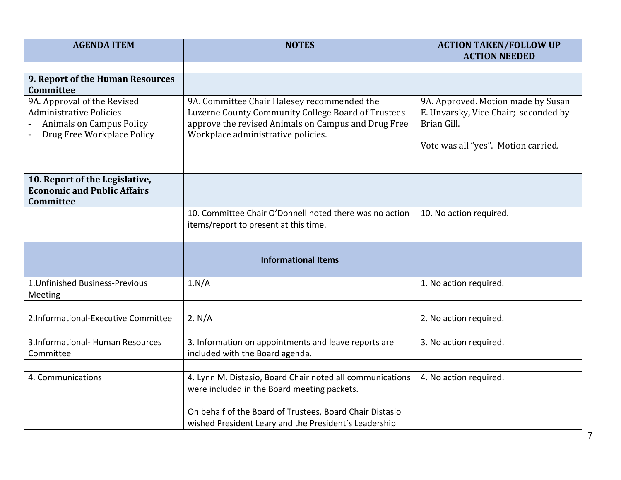| <b>AGENDA ITEM</b>                                                                                                             | <b>NOTES</b>                                                                                                                                                                                   | <b>ACTION TAKEN/FOLLOW UP</b><br><b>ACTION NEEDED</b>                                                                            |
|--------------------------------------------------------------------------------------------------------------------------------|------------------------------------------------------------------------------------------------------------------------------------------------------------------------------------------------|----------------------------------------------------------------------------------------------------------------------------------|
|                                                                                                                                |                                                                                                                                                                                                |                                                                                                                                  |
| 9. Report of the Human Resources<br>Committee                                                                                  |                                                                                                                                                                                                |                                                                                                                                  |
| 9A. Approval of the Revised<br><b>Administrative Policies</b><br><b>Animals on Campus Policy</b><br>Drug Free Workplace Policy | 9A. Committee Chair Halesey recommended the<br>Luzerne County Community College Board of Trustees<br>approve the revised Animals on Campus and Drug Free<br>Workplace administrative policies. | 9A. Approved. Motion made by Susan<br>E. Unvarsky, Vice Chair; seconded by<br>Brian Gill.<br>Vote was all "yes". Motion carried. |
| 10. Report of the Legislative,                                                                                                 |                                                                                                                                                                                                |                                                                                                                                  |
| <b>Economic and Public Affairs</b><br>Committee                                                                                |                                                                                                                                                                                                |                                                                                                                                  |
|                                                                                                                                | 10. Committee Chair O'Donnell noted there was no action                                                                                                                                        | 10. No action required.                                                                                                          |
|                                                                                                                                | items/report to present at this time.                                                                                                                                                          |                                                                                                                                  |
|                                                                                                                                |                                                                                                                                                                                                |                                                                                                                                  |
|                                                                                                                                | <b>Informational Items</b>                                                                                                                                                                     |                                                                                                                                  |
| 1. Unfinished Business-Previous<br>Meeting                                                                                     | 1.N/A                                                                                                                                                                                          | 1. No action required.                                                                                                           |
| 2.Informational-Executive Committee                                                                                            | 2. N/A                                                                                                                                                                                         | 2. No action required.                                                                                                           |
|                                                                                                                                |                                                                                                                                                                                                |                                                                                                                                  |
| 3.Informational- Human Resources<br>Committee                                                                                  | 3. Information on appointments and leave reports are<br>included with the Board agenda.                                                                                                        | 3. No action required.                                                                                                           |
|                                                                                                                                |                                                                                                                                                                                                |                                                                                                                                  |
| 4. Communications                                                                                                              | 4. Lynn M. Distasio, Board Chair noted all communications<br>were included in the Board meeting packets.                                                                                       | 4. No action required.                                                                                                           |
|                                                                                                                                | On behalf of the Board of Trustees, Board Chair Distasio<br>wished President Leary and the President's Leadership                                                                              |                                                                                                                                  |